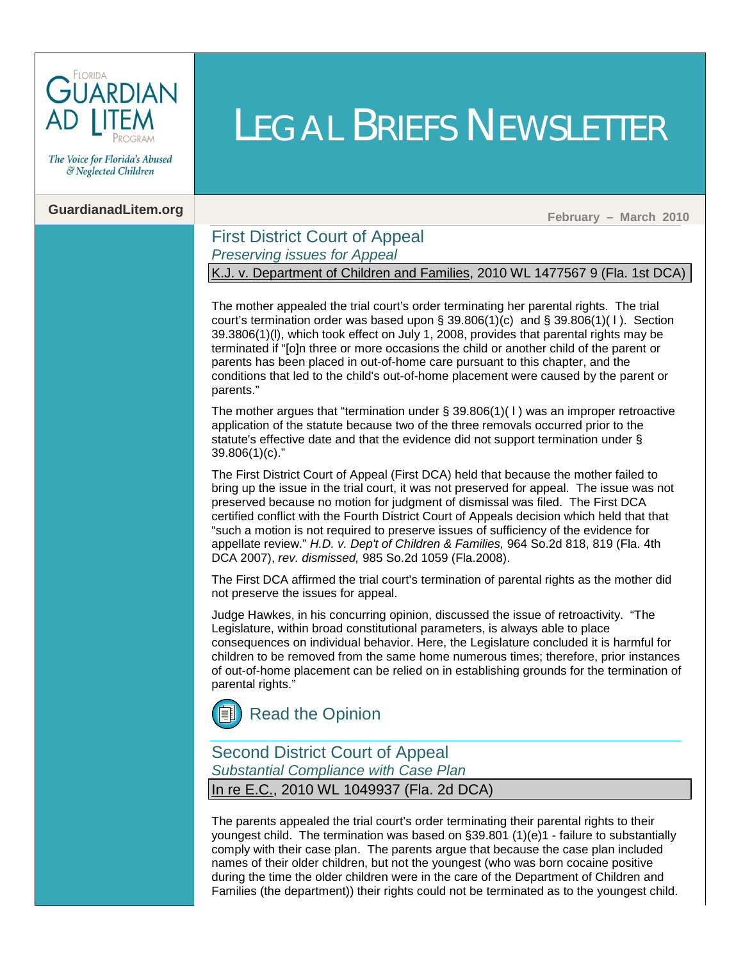

The Voice for Florida's Abused & Neglected Children

## **GuardianadLitem.org February – March 2010**

### First District Court of Appeal *Preserving issues for Appeal*

K.J. v. Department of Children and Families, 2010 WL 1477567 9 (Fla. 1st DCA)

LEGAL BRIEFS NEWSLETTER

The mother appealed the trial court's order terminating her parental rights. The trial court's termination order was based upon  $\S 39.806(1)(c)$  and  $\S 39.806(1)(1)$ . Section 39.3806(1)(l), which took effect on July 1, 2008, provides that parental rights may be terminated if "[o]n three or more occasions the child or another child of the parent or parents has been placed in out-of-home care pursuant to this chapter, and the conditions that led to the child's out-of-home placement were caused by the parent or parents."

The mother argues that "termination under  $\S 39.806(1)(1)$  was an improper retroactive application of the statute because two of the three removals occurred prior to the statute's effective date and that the evidence did not support termination under § [39.806\(1\)\(c\)."](http://www.leg.state.fl.us/Statutes/index.cfm?App_mode=Display_Statute&Search_String=&URL=Ch0039/SEC806.HTM&Title=->2009->Ch0039->Section%20806#0039.806)

The First District Court of Appeal (First DCA) held that because the mother failed to bring up the issue in the trial court, it was not preserved for appeal. The issue was not preserved because no motion for judgment of dismissal was filed. The First DCA certified conflict with the Fourth District Court of Appeals decision which held that that "such a motion is not required to preserve issues of sufficiency of the evidence for appellate review." *H.D. [v. Dep't of Children & Families,](http://guardianadlitem.org/case_sums/termparent/termparent_hd_dcfs.doc)* 964 So.2d 818, 819 (Fla. 4th [DCA 2007\),](http://guardianadlitem.org/case_sums/termparent/termparent_hd_dcfs.doc) *rev. dismissed,* 985 So.2d 1059 (Fla.2008).

The First DCA affirmed the trial court's termination of parental rights as the mother did not preserve the issues for appeal.

Judge Hawkes, in his concurring opinion, discussed the issue of retroactivity. "The Legislature, within broad constitutional parameters, is always able to place consequences on individual behavior. Here, the Legislature concluded it is harmful for children to be removed from the same home numerous times; therefore, prior instances of out-of-home placement can be relied on in establishing grounds for the termination of parental rights."



## Second District Court of Appeal

*Substantial Compliance with Case Plan*

In re E.C., 2010 WL 1049937 (Fla. 2d DCA)

The parents appealed the trial court's order terminating their parental rights to their youngest child. The termination was based o[n §39.801 \(1\)\(e\)1 -](http://www.leg.state.fl.us/Statutes/index.cfm?App_mode=Display_Statute&Search_String=&URL=Ch0039/SEC801.HTM&Title=->2009->Ch0039->Section%20801#0039.801) failure to substantially comply with their case plan. The parents argue that because the case plan included names of their older children, but not the youngest (who was born cocaine positive during the time the older children were in the care of the Department of Children and Families (the department)) their rights could not be terminated as to the youngest child.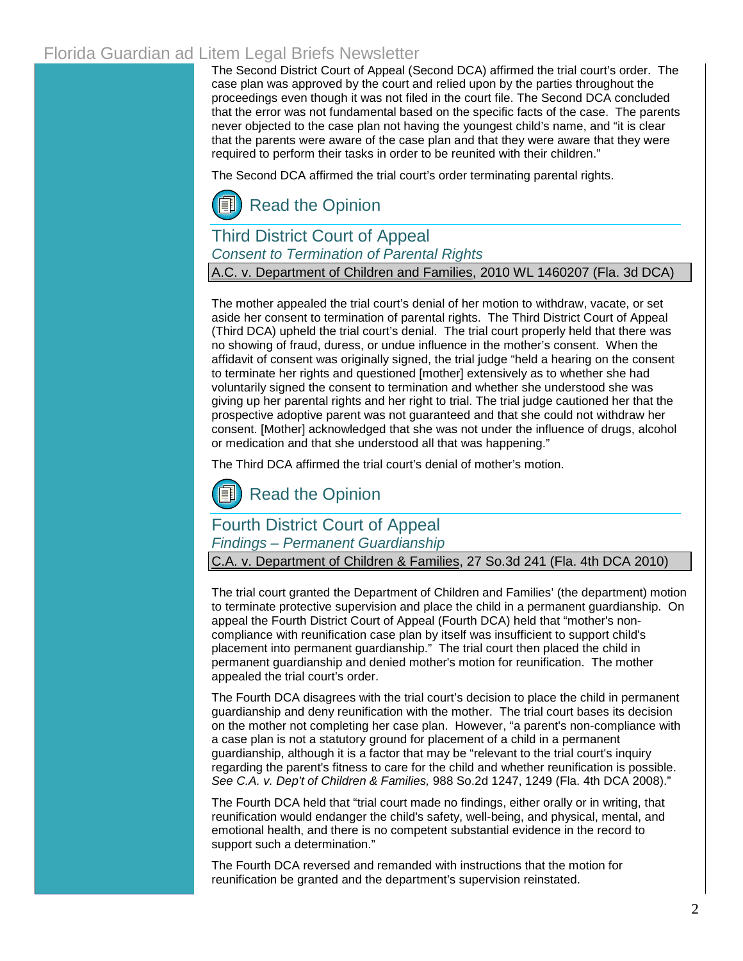## Florida Guardian ad Litem Legal Briefs Newsletter

The Second District Court of Appeal (Second DCA) affirmed the trial court's order. The case plan was approved by the court and relied upon by the parties throughout the proceedings even though it was not filed in the court file. The Second DCA concluded that the error was not fundamental based on the specific facts of the case. The parents never objected to the case plan not having the youngest child's name, and "it is clear that the parents were aware of the case plan and that they were aware that they were required to perform their tasks in order to be reunited with their children."

The Second DCA affirmed the trial court's order terminating parental rights.

## [Read the Opinion](http://www.2dca.org/opinions/Opinion_Pages/Opinion_Page_2010/March/March%2024,%202010/2D08-3544.pdf)

## Third District Court of Appeal *Consent to Termination of Parental Rights*

A.C. v. Department of Children and Families, 2010 WL 1460207 (Fla. 3d DCA)

The mother appealed the trial court's denial of her motion to withdraw, vacate, or set aside her consent to termination of parental rights. The Third District Court of Appeal (Third DCA) upheld the trial court's denial. The trial court properly held that there was no showing of fraud, duress, or undue influence in the mother's consent. When the affidavit of consent was originally signed, the trial judge "held a hearing on the consent to terminate her rights and questioned [mother] extensively as to whether she had voluntarily signed the consent to termination and whether she understood she was giving up her parental rights and her right to trial. The trial judge cautioned her that the prospective adoptive parent was not guaranteed and that she could not withdraw her consent. [Mother] acknowledged that she was not under the influence of drugs, alcohol or medication and that she understood all that was happening."

The Third DCA affirmed the trial court's denial of mother's motion.

[Read the Opinion](http://www.3dca.flcourts.org/opinions/3D09-1113.pdf)

### Fourth District Court of Appeal

*Findings – Permanent Guardianship*

C.A. v. Department of Children & Families, 27 So.3d 241 (Fla. 4th DCA 2010)

The trial court granted the Department of Children and Families' (the department) motion to terminate protective supervision and place the child in a permanent guardianship. On appeal the Fourth District Court of Appeal (Fourth DCA) held that "mother's noncompliance with reunification case plan by itself was insufficient to support child's placement into permanent guardianship." The trial court then placed the child in permanent guardianship and denied mother's motion for reunification. The mother appealed the trial court's order.

The Fourth DCA disagrees with the trial court's decision to place the child in permanent guardianship and deny reunification with the mother. The trial court bases its decision on the mother not completing her case plan. However, "a parent's non-compliance with a case plan is not a statutory ground for placement of a child in a permanent guardianship, although it is a factor that may be "relevant to the trial court's inquiry regarding the parent's fitness to care for the child and whether reunification is possible. *See C.A. v. Dep't of Children & Families,* 988 So.2d 1247, 1249 (Fla. 4th DCA 2008)."

The Fourth DCA held that "trial court made no findings, either orally or in writing, that reunification would endanger the child's safety, well-being, and physical, mental, and emotional health, and there is no competent substantial evidence in the record to support such a determination."

The Fourth DCA reversed and remanded with instructions that the motion for reunification be granted and the department's supervision reinstated.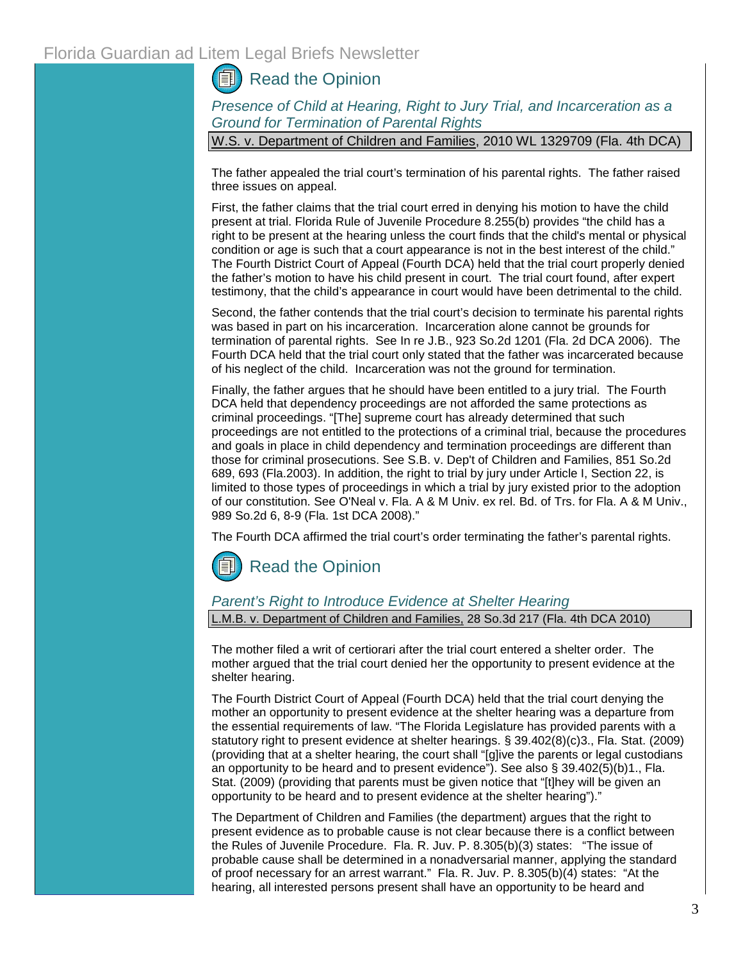## Florida Guardian ad Litem Legal Briefs Newsletter

## [Read the Opinion](http://www.4dca.org/opinions/Feb%202010/02-17-2010/4D09-3578.op.pdf)

*Presence of Child at Hearing, Right to Jury Trial, and Incarceration as a Ground for Termination of Parental Rights*

W.S. v. Department of Children and Families, 2010 WL 1329709 (Fla. 4th DCA)

The father appealed the trial court's termination of his parental rights. The father raised three issues on appeal.

First, the father claims that the trial court erred in denying his motion to have the child present at trial. [Florida Rule of Juvenile Procedure 8.255\(b\)](http://web2.westlaw.com/find/default.wl?tf=-1&rs=WLW10.04&fn=_top&sv=Split&docname=FLSTJUVPR8.255&tc=-1&pbc=BF59CB54&ordoc=2021691707&findtype=L&db=1000006&vr=2.0&rp=%2ffind%2fdefault.wl&mt=Westlaw) provides "the child has a right to be present at the hearing unless the court finds that the child's mental or physical condition or age is such that a court appearance is not in the best interest of the child." The Fourth District Court of Appeal (Fourth DCA) held that the trial court properly denied the father's motion to have his child present in court. The trial court found, after expert testimony, that the child's appearance in court would have been detrimental to the child.

Second, the father contends that the trial court's decision to terminate his parental rights was based in part on his incarceration. Incarceration alone cannot be grounds for termination of parental rights. See [In re J.B., 923 So.2d 1201 \(Fla. 2d DCA 2006\).](http://guardianadlitem.org/case_sums/abadonment/revtermparent_re_jb.doc) The Fourth DCA held that the trial court only stated that the father was incarcerated because of his neglect of the child. Incarceration was not the ground for termination.

Finally, the father argues that he should have been entitled to a jury trial. The Fourth DCA held that dependency proceedings are not afforded the same protections as criminal proceedings. "[The] supreme court has already determined that such proceedings are not entitled to the protections of a criminal trial, because the procedures and goals in place in child dependency and termination proceedings are different than those for criminal prosecutions. See S.B. v. Dep't of Children and Families, 851 So.2d 689, 693 (Fla.2003). In addition, the right to trial by jury under Article I, Section 22, is limited to those types of proceedings in which a trial by jury existed prior to the adoption of our constitution. See O'Neal v. Fla. A & M Univ. ex rel. Bd. of Trs. for Fla. A & M Univ., 989 So.2d 6, 8-9 (Fla. 1st DCA 2008)."

The Fourth DCA affirmed the trial court's order terminating the father's parental rights.

[Read the Opinion](http://www.4dca.org/opinions/Apr%202010/04-07-10/4D09-4625.op.pdf)

#### *Parent's Right to Introduce Evidence at Shelter Hearing*

L.M.B. v. Department of Children and Families, 28 So.3d 217 (Fla. 4th DCA 2010)

The mother filed a writ of certiorari after the trial court entered a shelter order. The mother argued that the trial court denied her the opportunity to present evidence at the shelter hearing.

The Fourth District Court of Appeal (Fourth DCA) held that the trial court denying the mother an opportunity to present evidence at the shelter hearing was a departure from the essential requirements of law. "The Florida Legislature has provided parents with a statutory right to present evidence at shelter hearings[. § 39.402\(8\)\(c\)3., Fla. Stat. \(2009\)](http://www.leg.state.fl.us/Statutes/index.cfm?App_mode=Display_Statute&Search_String=&URL=Ch0039/SEC402.HTM&Title=->2009->Ch0039->Section%20402#0039.402)  (providing that at a shelter hearing, the court shall "[g]ive the parents or legal custodians an opportunity to be heard and to present evidence"). See als[o § 39.402\(5\)\(b\)1., Fla.](http://www.leg.state.fl.us/Statutes/index.cfm?App_mode=Display_Statute&Search_String=&URL=Ch0039/SEC402.HTM&Title=->2009->Ch0039->Section%20402#0039.402)  [Stat. \(2009\) \(](http://www.leg.state.fl.us/Statutes/index.cfm?App_mode=Display_Statute&Search_String=&URL=Ch0039/SEC402.HTM&Title=->2009->Ch0039->Section%20402#0039.402)providing that parents must be given notice that "[t]hey will be given an opportunity to be heard and to present evidence at the shelter hearing")."

The Department of Children and Families (the department) argues that the right to present evidence as to probable cause is not clear because there is a conflict between the Rules of Juvenile Procedure. [Fla. R. Juv. P. 8.305\(b\)\(3\) s](http://www.floridabar.org/TFB/TFBResources.nsf/Attachments/E2AD7DEF01F6F90685256B29004BFA7E/$FILE/Juvenile.pdf?OpenElement)tates: "The issue of probable cause shall be determined in a nonadversarial manner, applying the standard of proof necessary for an arrest warrant." [Fla. R. Juv. P. 8.305\(b\)\(4\)](http://www.floridabar.org/TFB/TFBResources.nsf/Attachments/E2AD7DEF01F6F90685256B29004BFA7E/$FILE/Juvenile.pdf?OpenElement) states: "At the hearing, all interested persons present shall have an opportunity to be heard and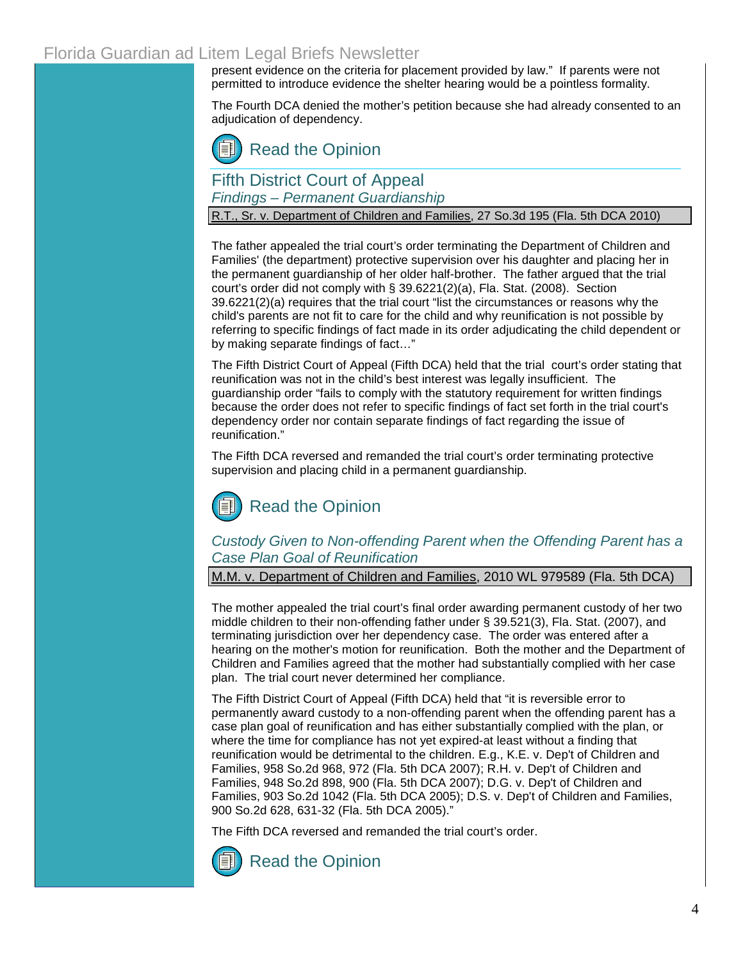## Florida Guardian ad Litem Legal Briefs Newsletter

present evidence on the criteria for placement provided by law." If parents were not permitted to introduce evidence the shelter hearing would be a pointless formality.

The Fourth DCA denied the mother's petition because she had already consented to an adjudication of dependency.

## [Read the Opinion](http://www.4dca.org/opinions/Feb%202010/02-24-2010/4D09-3088.op.pdf)

Fifth District Court of Appeal

*Findings – Permanent Guardianship*

R.T., Sr. v. Department of Children and Families, 27 So.3d 195 (Fla. 5th DCA 2010)

The father appealed the trial court's order terminating the Department of Children and Families' (the department) protective supervision over his daughter and placing her in the permanent guardianship of her older half-brother. The father argued that the trial court's order did not comply with [§ 39.6221\(2\)\(a\), Fla. Stat. \(2008\).](http://www.leg.state.fl.us/Statutes/index.cfm?App_mode=Display_Statute&Search_String=&URL=Ch0039/SEC6221.HTM&Title=->2009->Ch0039->Section%206221#0039.6221) [Section](http://www.leg.state.fl.us/Statutes/index.cfm?App_mode=Display_Statute&Search_String=&URL=Ch0039/SEC6221.HTM&Title=->2009->Ch0039->Section%206221#0039.6221)  [39.6221\(2\)\(a\)](http://www.leg.state.fl.us/Statutes/index.cfm?App_mode=Display_Statute&Search_String=&URL=Ch0039/SEC6221.HTM&Title=->2009->Ch0039->Section%206221#0039.6221) requires that the trial court "list the circumstances or reasons why the child's parents are not fit to care for the child and why reunification is not possible by referring to specific findings of fact made in its order adjudicating the child dependent or by making separate findings of fact…"

The Fifth District Court of Appeal (Fifth DCA) held that the trial court's order stating that reunification was not in the child's best interest was legally insufficient. The guardianship order "fails to comply with the statutory requirement for written findings because the order does not refer to specific findings of fact set forth in the trial court's dependency order nor contain separate findings of fact regarding the issue of reunification."

The Fifth DCA reversed and remanded the trial court's order terminating protective supervision and placing child in a permanent guardianship.

# [Read the Opinion](http://www.5dca.org/Opinions/Opin2010/020810/5D09-2130.op.pdf)

*Custody Given to Non-offending Parent when the Offending Parent has a Case Plan Goal of Reunification*

M.M. v. Department of Children and Families, 2010 WL 979589 (Fla. 5th DCA)

The mother appealed the trial court's final order awarding permanent custody of her two middle children to their non-offending father under [§ 39.521\(3\), Fla. Stat. \(2007\),](http://www.leg.state.fl.us/Statutes/index.cfm?App_mode=Display_Statute&Search_String=&URL=Ch0039/SEC521.HTM&Title=->2009->Ch0039->Section%20521#0039.521) and terminating jurisdiction over her dependency case. The order was entered after a hearing on the mother's motion for reunification. Both the mother and the Department of Children and Families agreed that the mother had substantially complied with her case plan. The trial court never determined her compliance.

The Fifth District Court of Appeal (Fifth DCA) held that "it is reversible error to permanently award custody to a non-offending parent when the offending parent has a case plan goal of reunification and has either substantially complied with the plan, or where the time for compliance has not yet expired-at least without a finding that reunification would be detrimental to the children. E.g., [K.E. v. Dep't of Children and](http://guardianadlitem.org/case_sums/nonoffend_parent/nonoffendingparent_ke_dcf.doc)  [Families, 958 So.2d 968, 972 \(Fla. 5th DCA 2007\)](http://guardianadlitem.org/case_sums/nonoffend_parent/nonoffendingparent_ke_dcf.doc); [R.H. v. Dep't of Children and](http://guardianadlitem.org/case_sums/sub_compliance/dueprocess_rh_dcf.doc)  [Families, 948 So.2d 898, 900 \(Fla. 5th DCA 2007\);](http://guardianadlitem.org/case_sums/sub_compliance/dueprocess_rh_dcf.doc) [D.G. v. Dep't of Children and](http://guardianadlitem.org/case_sums/case_plans/subcompliance_dg_dcf%20.doc)  [Families, 903 So.2d 1042 \(Fla. 5th DCA 2005\)](http://guardianadlitem.org/case_sums/case_plans/subcompliance_dg_dcf%20.doc)[; D.S. v. Dep't of Children and Families,](http://guardianadlitem.org/case_sums/misc_cases/misc_ds_dcf_2k5.doc)  [900 So.2d 628, 631-32 \(Fla. 5th DCA 2005\)."](http://guardianadlitem.org/case_sums/misc_cases/misc_ds_dcf_2k5.doc)

The Fifth DCA reversed and remanded the trial court's order.



[Read the Opinion](http://www.5dca.org/Opinions/Opin2010/031510/5D09-3669.op.pdf)